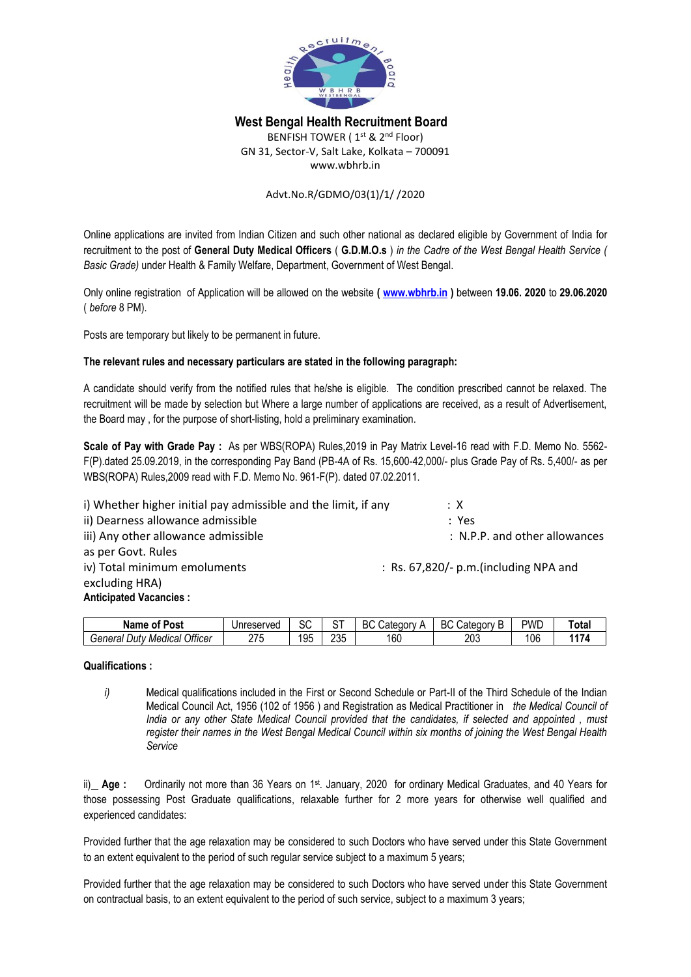

# **West Bengal Health Recruitment Board**

BENFISH TOWER (1<sup>st</sup> & 2<sup>nd</sup> Floor) GN 31, Sector-V, Salt Lake, Kolkata – 700091 www.wbhrb.in

## Advt.No.R/GDMO/03(1)/1/ /2020

Online applications are invited from Indian Citizen and such other national as declared eligible by Government of India for recruitment to the post of **General Duty Medical Officers** ( **G.D.M.O.s** ) *in the Cadre of the West Bengal Health Service ( Basic Grade)* under Health & Family Welfare, Department, Government of West Bengal.

Only online registration of Application will be allowed on the website **( [www.wbhrb.in](http://www.wbhrb.in/) )** between **19.06. 2020** to **29.06.2020** ( *before* 8 PM).

Posts are temporary but likely to be permanent in future.

## **The relevant rules and necessary particulars are stated in the following paragraph:**

A candidate should verify from the notified rules that he/she is eligible. The condition prescribed cannot be relaxed. The recruitment will be made by selection but Where a large number of applications are received, as a result of Advertisement, the Board may , for the purpose of short-listing, hold a preliminary examination.

**Scale of Pay with Grade Pay :** As per WBS(ROPA) Rules,2019 in Pay Matrix Level-16 read with F.D. Memo No. 5562- F(P).dated 25.09.2019, in the corresponding Pay Band (PB-4A of Rs. 15,600-42,000/- plus Grade Pay of Rs. 5,400/- as per WBS(ROPA) Rules,2009 read with F.D. Memo No. 961-F(P). dated 07.02.2011.

i) Whether higher initial pay admissible and the limit, if any  $\cdot \times$ ii) Dearness allowance admissible : Yes iii) Any other allowance admissible is a set of the set of the set of the set of the set of the set of the set o as per Govt. Rules iv) Total minimum emoluments : Rs. 67,820/- p.m.(including NPA and excluding HRA) **Anticipated Vacancies :**

| . .<br>. .<br>Post<br>Name<br>.ot            | Unreserved | r c<br>ぃ  | ⌒⊤         | BC<br>$\sim$<br>شatedor∨ | DO.<br>∽<br>Jategor<br>$\sim$<br>DU<br>וו ו<br>ч | pwd | 'otal |
|----------------------------------------------|------------|-----------|------------|--------------------------|--------------------------------------------------|-----|-------|
| <b>Officer</b><br>General<br>Medical<br>Dutν | חדה<br>w   | 10F<br>ັບ | つつに<br>∠∪ພ | 160                      | 203                                              | 106 | 447   |

#### **Qualifications :**

*i*) Medical qualifications included in the First or Second Schedule or Part-II of the Third Schedule of the Indian Medical Council Act, 1956 (102 of 1956 ) and Registration as Medical Practitioner in *the Medical Council of India or any other State Medical Council provided that the candidates, if selected and appointed , must register their names in the West Bengal Medical Council within six months of joining the West Bengal Health Service*

ii)\_ Age: Ordinarily not more than 36 Years on 1<sup>st</sup>. January, 2020 for ordinary Medical Graduates, and 40 Years for those possessing Post Graduate qualifications, relaxable further for 2 more years for otherwise well qualified and experienced candidates:

Provided further that the age relaxation may be considered to such Doctors who have served under this State Government to an extent equivalent to the period of such regular service subject to a maximum 5 years;

Provided further that the age relaxation may be considered to such Doctors who have served under this State Government on contractual basis, to an extent equivalent to the period of such service, subject to a maximum 3 years;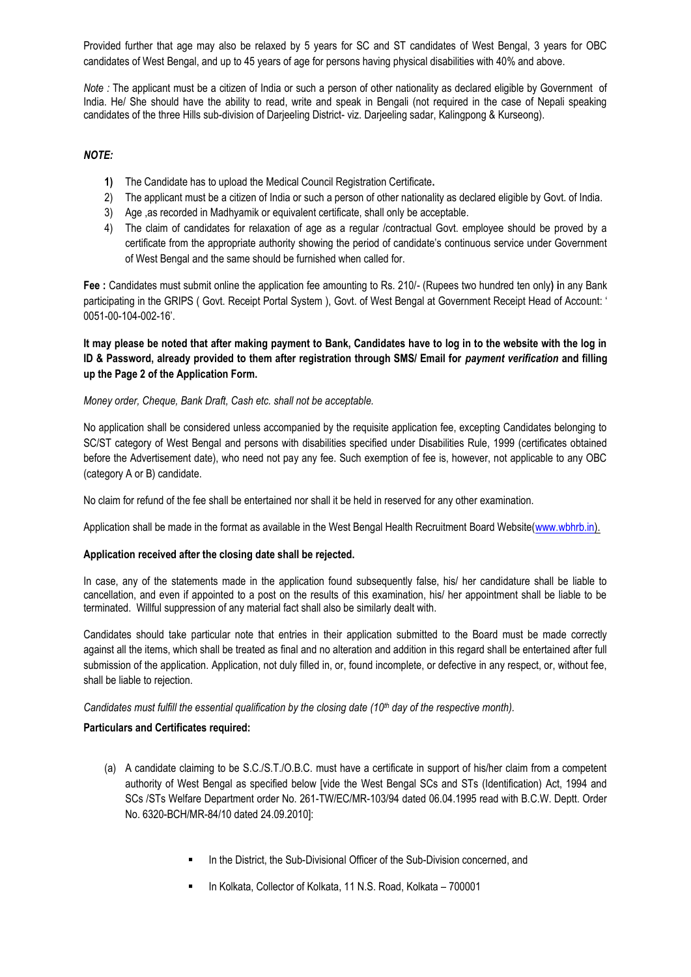Provided further that age may also be relaxed by 5 years for SC and ST candidates of West Bengal, 3 years for OBC candidates of West Bengal, and up to 45 years of age for persons having physical disabilities with 40% and above.

*Note :* The applicant must be a citizen of India or such a person of other nationality as declared eligible by Government of India. He/ She should have the ability to read, write and speak in Bengali (not required in the case of Nepali speaking candidates of the three Hills sub-division of Darjeeling District- viz. Darjeeling sadar, Kalingpong & Kurseong).

## *NOTE:*

- **1)** The Candidate has to upload the Medical Council Registration Certificate**.**
- 2) The applicant must be a citizen of India or such a person of other nationality as declared eligible by Govt. of India.
- 3) Age ,as recorded in Madhyamik or equivalent certificate, shall only be acceptable.
- 4) The claim of candidates for relaxation of age as a regular /contractual Govt. employee should be proved by a certificate from the appropriate authority showing the period of candidate's continuous service under Government of West Bengal and the same should be furnished when called for.

**Fee :** Candidates must submit online the application fee amounting to Rs. 210/- (Rupees two hundred ten only**) i**n any Bank participating in the GRIPS ( Govt. Receipt Portal System ), Govt. of West Bengal at Government Receipt Head of Account: ' 0051-00-104-002-16'.

**It may please be noted that after making payment to Bank, Candidates have to log in to the website with the log in ID & Password, already provided to them after registration through SMS/ Email for** *payment verification* **and filling up the Page 2 of the Application Form.**

## *Money order, Cheque, Bank Draft, Cash etc. shall not be acceptable.*

No application shall be considered unless accompanied by the requisite application fee, excepting Candidates belonging to SC/ST category of West Bengal and persons with disabilities specified under Disabilities Rule, 1999 (certificates obtained before the Advertisement date), who need not pay any fee. Such exemption of fee is, however, not applicable to any OBC (category A or B) candidate.

No claim for refund of the fee shall be entertained nor shall it be held in reserved for any other examination.

Application shall be made in the format as available in the West Bengal Health Recruitment Board Website[\(www.wbhrb.in\)](http://www.wbhrb.in/).

#### **Application received after the closing date shall be rejected.**

In case, any of the statements made in the application found subsequently false, his/ her candidature shall be liable to cancellation, and even if appointed to a post on the results of this examination, his/ her appointment shall be liable to be terminated. Willful suppression of any material fact shall also be similarly dealt with.

Candidates should take particular note that entries in their application submitted to the Board must be made correctly against all the items, which shall be treated as final and no alteration and addition in this regard shall be entertained after full submission of the application. Application, not duly filled in, or, found incomplete, or defective in any respect, or, without fee, shall be liable to rejection.

*Candidates must fulfill the essential qualification by the closing date (10<sup>th</sup> day of the respective month).* 

#### **Particulars and Certificates required:**

- (a) A candidate claiming to be S.C./S.T./O.B.C. must have a certificate in support of his/her claim from a competent authority of West Bengal as specified below [vide the West Bengal SCs and STs (Identification) Act, 1994 and SCs /STs Welfare Department order No. 261-TW/EC/MR-103/94 dated 06.04.1995 read with B.C.W. Deptt. Order No. 6320-BCH/MR-84/10 dated 24.09.2010]:
	- In the District, the Sub-Divisional Officer of the Sub-Division concerned, and
	- In Kolkata, Collector of Kolkata, 11 N.S. Road, Kolkata 700001